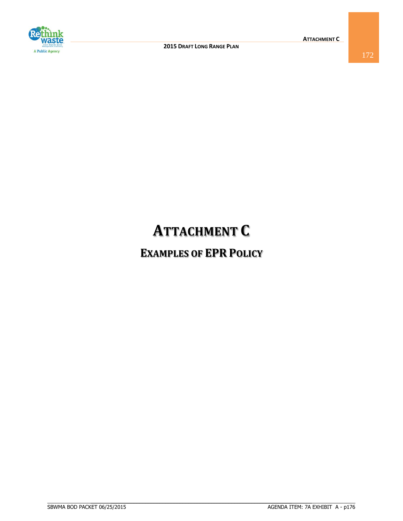

## **ATTACHMENT C**

## **EXAMPLES OF EPR POLICY**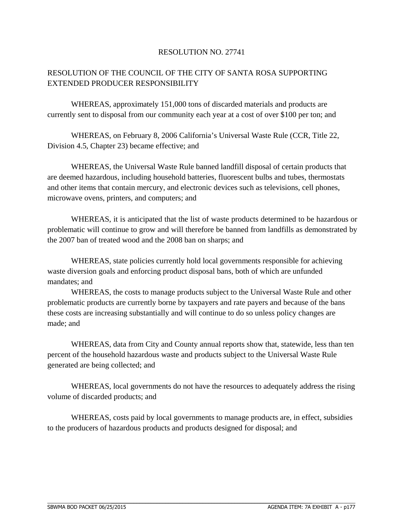## RESOLUTION NO. 27741

## RESOLUTION OF THE COUNCIL OF THE CITY OF SANTA ROSA SUPPORTING EXTENDED PRODUCER RESPONSIBILITY

WHEREAS, approximately 151,000 tons of discarded materials and products are currently sent to disposal from our community each year at a cost of over \$100 per ton; and

WHEREAS, on February 8, 2006 California's Universal Waste Rule (CCR, Title 22, Division 4.5, Chapter 23) became effective; and

WHEREAS, the Universal Waste Rule banned landfill disposal of certain products that are deemed hazardous, including household batteries, fluorescent bulbs and tubes, thermostats and other items that contain mercury, and electronic devices such as televisions, cell phones, microwave ovens, printers, and computers; and

WHEREAS, it is anticipated that the list of waste products determined to be hazardous or problematic will continue to grow and will therefore be banned from landfills as demonstrated by the 2007 ban of treated wood and the 2008 ban on sharps; and

WHEREAS, state policies currently hold local governments responsible for achieving waste diversion goals and enforcing product disposal bans, both of which are unfunded mandates; and

WHEREAS, the costs to manage products subject to the Universal Waste Rule and other problematic products are currently borne by taxpayers and rate payers and because of the bans these costs are increasing substantially and will continue to do so unless policy changes are made; and

WHEREAS, data from City and County annual reports show that, statewide, less than ten percent of the household hazardous waste and products subject to the Universal Waste Rule generated are being collected; and

WHEREAS, local governments do not have the resources to adequately address the rising volume of discarded products; and

WHEREAS, costs paid by local governments to manage products are, in effect, subsidies to the producers of hazardous products and products designed for disposal; and

 $\_$  ,  $\_$  ,  $\_$  ,  $\_$  ,  $\_$  ,  $\_$  ,  $\_$  ,  $\_$  ,  $\_$  ,  $\_$  ,  $\_$  ,  $\_$  ,  $\_$  ,  $\_$  ,  $\_$  ,  $\_$  ,  $\_$  ,  $\_$  ,  $\_$  ,  $\_$  ,  $\_$  ,  $\_$  ,  $\_$  ,  $\_$  ,  $\_$  ,  $\_$  ,  $\_$  ,  $\_$  ,  $\_$  ,  $\_$  ,  $\_$  ,  $\_$  ,  $\_$  ,  $\_$  ,  $\_$  ,  $\_$  ,  $\_$  ,

 $\mathcal{L}_\mathcal{L} = \{ \mathcal{L}_\mathcal{L} = \{ \mathcal{L}_\mathcal{L} = \{ \mathcal{L}_\mathcal{L} = \{ \mathcal{L}_\mathcal{L} = \{ \mathcal{L}_\mathcal{L} = \{ \mathcal{L}_\mathcal{L} = \{ \mathcal{L}_\mathcal{L} = \{ \mathcal{L}_\mathcal{L} = \{ \mathcal{L}_\mathcal{L} = \{ \mathcal{L}_\mathcal{L} = \{ \mathcal{L}_\mathcal{L} = \{ \mathcal{L}_\mathcal{L} = \{ \mathcal{L}_\mathcal{L} = \{ \mathcal{L}_\mathcal{$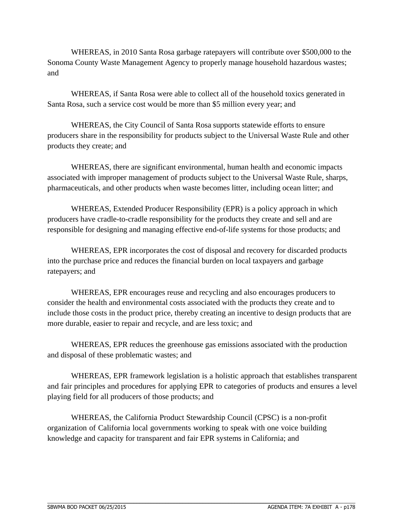WHEREAS, in 2010 Santa Rosa garbage ratepayers will contribute over \$500,000 to the Sonoma County Waste Management Agency to properly manage household hazardous wastes; and

WHEREAS, if Santa Rosa were able to collect all of the household toxics generated in Santa Rosa, such a service cost would be more than \$5 million every year; and

WHEREAS, the City Council of Santa Rosa supports statewide efforts to ensure producers share in the responsibility for products subject to the Universal Waste Rule and other products they create; and

WHEREAS, there are significant environmental, human health and economic impacts associated with improper management of products subject to the Universal Waste Rule, sharps, pharmaceuticals, and other products when waste becomes litter, including ocean litter; and

WHEREAS, Extended Producer Responsibility (EPR) is a policy approach in which producers have cradle-to-cradle responsibility for the products they create and sell and are responsible for designing and managing effective end-of-life systems for those products; and

WHEREAS, EPR incorporates the cost of disposal and recovery for discarded products into the purchase price and reduces the financial burden on local taxpayers and garbage ratepayers; and

WHEREAS, EPR encourages reuse and recycling and also encourages producers to consider the health and environmental costs associated with the products they create and to include those costs in the product price, thereby creating an incentive to design products that are more durable, easier to repair and recycle, and are less toxic; and

WHEREAS, EPR reduces the greenhouse gas emissions associated with the production and disposal of these problematic wastes; and

WHEREAS, EPR framework legislation is a holistic approach that establishes transparent and fair principles and procedures for applying EPR to categories of products and ensures a level playing field for all producers of those products; and

WHEREAS, the California Product Stewardship Council (CPSC) is a non-profit organization of California local governments working to speak with one voice building knowledge and capacity for transparent and fair EPR systems in California; and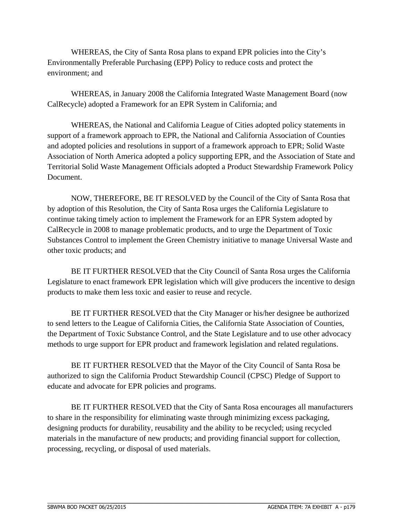WHEREAS, the City of Santa Rosa plans to expand EPR policies into the City's Environmentally Preferable Purchasing (EPP) Policy to reduce costs and protect the environment; and

WHEREAS, in January 2008 the California Integrated Waste Management Board (now CalRecycle) adopted a Framework for an EPR System in California; and

WHEREAS, the National and California League of Cities adopted policy statements in support of a framework approach to EPR, the National and California Association of Counties and adopted policies and resolutions in support of a framework approach to EPR; Solid Waste Association of North America adopted a policy supporting EPR, and the Association of State and Territorial Solid Waste Management Officials adopted a Product Stewardship Framework Policy Document.

NOW, THEREFORE, BE IT RESOLVED by the Council of the City of Santa Rosa that by adoption of this Resolution, the City of Santa Rosa urges the California Legislature to continue taking timely action to implement the Framework for an EPR System adopted by CalRecycle in 2008 to manage problematic products, and to urge the Department of Toxic Substances Control to implement the Green Chemistry initiative to manage Universal Waste and other toxic products; and

BE IT FURTHER RESOLVED that the City Council of Santa Rosa urges the California Legislature to enact framework EPR legislation which will give producers the incentive to design products to make them less toxic and easier to reuse and recycle.

BE IT FURTHER RESOLVED that the City Manager or his/her designee be authorized to send letters to the League of California Cities, the California State Association of Counties, the Department of Toxic Substance Control, and the State Legislature and to use other advocacy methods to urge support for EPR product and framework legislation and related regulations.

BE IT FURTHER RESOLVED that the Mayor of the City Council of Santa Rosa be authorized to sign the California Product Stewardship Council (CPSC) Pledge of Support to educate and advocate for EPR policies and programs.

BE IT FURTHER RESOLVED that the City of Santa Rosa encourages all manufacturers to share in the responsibility for eliminating waste through minimizing excess packaging, designing products for durability, reusability and the ability to be recycled; using recycled materials in the manufacture of new products; and providing financial support for collection, processing, recycling, or disposal of used materials.